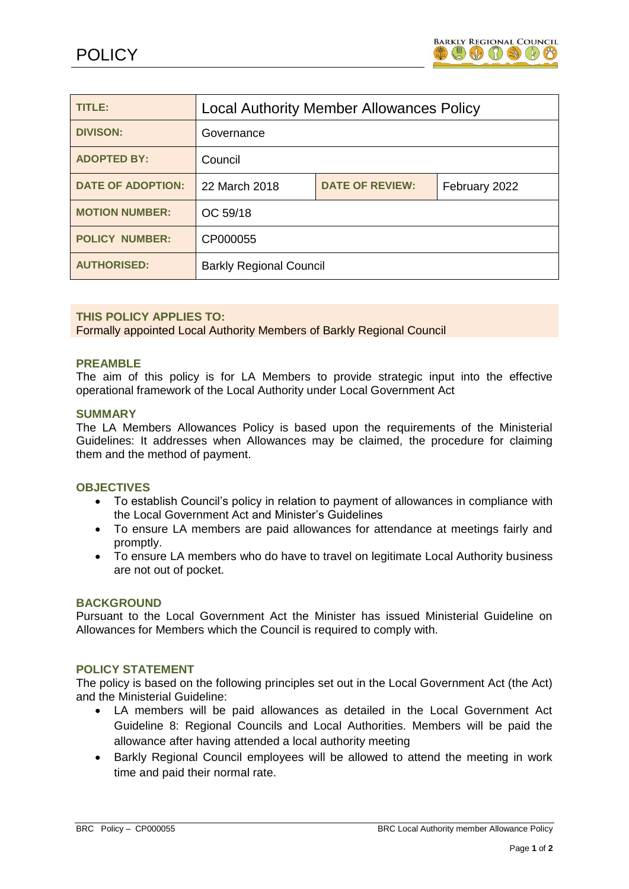

| TITLE:                   | <b>Local Authority Member Allowances Policy</b> |                        |               |
|--------------------------|-------------------------------------------------|------------------------|---------------|
| <b>DIVISON:</b>          | Governance                                      |                        |               |
| <b>ADOPTED BY:</b>       | Council                                         |                        |               |
| <b>DATE OF ADOPTION:</b> | 22 March 2018                                   | <b>DATE OF REVIEW:</b> | February 2022 |
| <b>MOTION NUMBER:</b>    | OC 59/18                                        |                        |               |
| <b>POLICY NUMBER:</b>    | CP000055                                        |                        |               |
| <b>AUTHORISED:</b>       | <b>Barkly Regional Council</b>                  |                        |               |

### **THIS POLICY APPLIES TO:**

Formally appointed Local Authority Members of Barkly Regional Council

#### **PREAMBLE**

The aim of this policy is for LA Members to provide strategic input into the effective operational framework of the Local Authority under Local Government Act

#### **SUMMARY**

The LA Members Allowances Policy is based upon the requirements of the Ministerial Guidelines: It addresses when Allowances may be claimed, the procedure for claiming them and the method of payment.

### **OBJECTIVES**

- To establish Council's policy in relation to payment of allowances in compliance with the Local Government Act and Minister's Guidelines
- To ensure LA members are paid allowances for attendance at meetings fairly and promptly.
- To ensure LA members who do have to travel on legitimate Local Authority business are not out of pocket.

#### **BACKGROUND**

Pursuant to the Local Government Act the Minister has issued Ministerial Guideline on Allowances for Members which the Council is required to comply with.

#### **POLICY STATEMENT**

The policy is based on the following principles set out in the Local Government Act (the Act) and the Ministerial Guideline:

- LA members will be paid allowances as detailed in the Local Government Act Guideline 8: Regional Councils and Local Authorities. Members will be paid the allowance after having attended a local authority meeting
- Barkly Regional Council employees will be allowed to attend the meeting in work time and paid their normal rate.